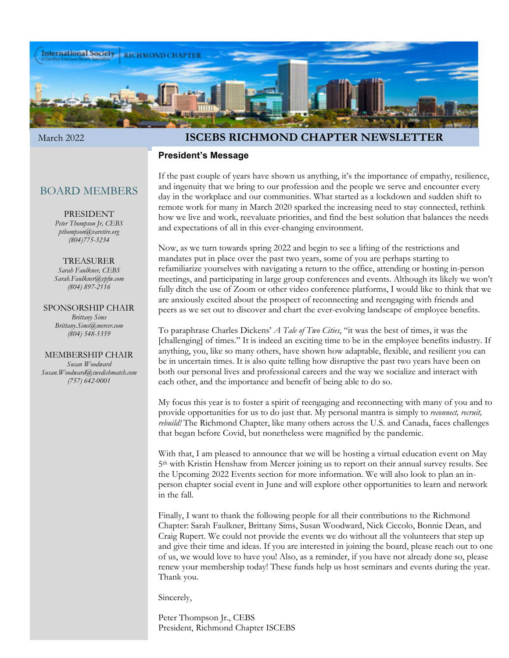

### March 2022 **ISCEBS RICHMOND CHAPTER NEWSLETTER**

#### **President's Message**

### BOARD MEMBERS

#### PRESIDENT

*Peter Thompson Jr, CEBS pthompson@varetire.org (804)775-3234*

#### TREASURER

*Sarah Faulkner, CEBS Sarah.Faulkner@vpfw.com (804) 897-2116*

### SPONSORSHIP CHAIR

*Brittany Sims Brittany.Sims@mercer.com (804) 548-5359*

MEMBERSHIP CHAIR *Susan Woodward Susan.Woodward@swedishmatch.com (757) 642-0001*

If the past couple of years have shown us anything, it's the importance of empathy, resilience, and ingenuity that we bring to our profession and the people we serve and encounter every day in the workplace and our communities. What started as a lockdown and sudden shift to remote work for many in March 2020 sparked the increasing need to stay connected, rethink how we live and work, reevaluate priorities, and find the best solution that balances the needs and expectations of all in this ever-changing environment.

Now, as we turn towards spring 2022 and begin to see a lifting of the restrictions and mandates put in place over the past two years, some of you are perhaps starting to refamiliarize yourselves with navigating a return to the office, attending or hosting in-person meetings, and participating in large group conferences and events. Although its likely we won't fully ditch the use of Zoom or other video conference platforms, I would like to think that we are anxiously excited about the prospect of reconnecting and reengaging with friends and peers as we set out to discover and chart the ever-evolving landscape of employee benefits.

To paraphrase Charles Dickens' *A Tale of Two Cities*, "it was the best of times, it was the [challenging] of times." It is indeed an exciting time to be in the employee benefits industry. If anything, you, like so many others, have shown how adaptable, flexible, and resilient you can be in uncertain times. It is also quite telling how disruptive the past two years have been on both our personal lives and professional careers and the way we socialize and interact with each other, and the importance and benefit of being able to do so.

My focus this year is to foster a spirit of reengaging and reconnecting with many of you and to provide opportunities for us to do just that. My personal mantra is simply to *reconnect, recruit, rebuild!* The Richmond Chapter, like many others across the U.S. and Canada, faces challenges that began before Covid, but nonetheless were magnified by the pandemic.

With that, I am pleased to announce that we will be hosting a virtual education event on May 5th with Kristin Henshaw from Mercer joining us to report on their annual survey results. See the Upcoming 2022 Events section for more information. We will also look to plan an inperson chapter social event in June and will explore other opportunities to learn and network in the fall.

Finally, I want to thank the following people for all their contributions to the Richmond Chapter: Sarah Faulkner, Brittany Sims, Susan Woodward, Nick Ciccolo, Bonnie Dean, and Craig Rupert. We could not provide the events we do without all the volunteers that step up and give their time and ideas. If you are interested in joining the board, please reach out to one of us, we would love to have you! Also, as a reminder, if you have not already done so, please renew your membership today! These funds help us host seminars and events during the year. Thank you.

Sincerely,

Peter Thompson Jr., CEBS President, Richmond Chapter ISCEBS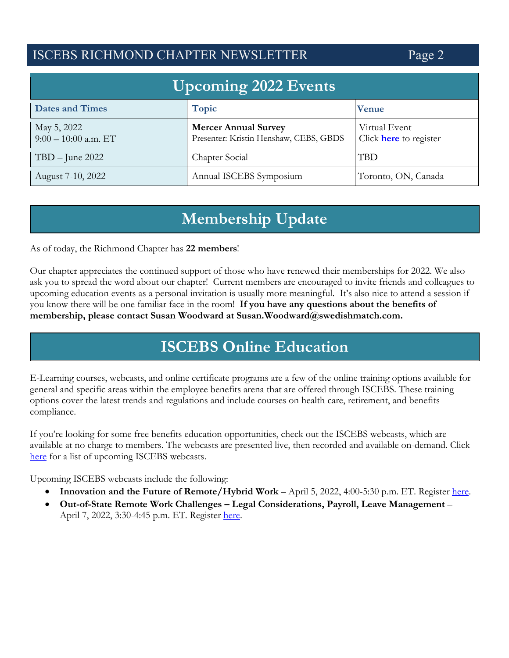# ISCEBS RICHMOND CHAPTER NEWSLETTER Page 2

| <b>Upcoming 2022 Events</b>           |                                                                       |                                         |
|---------------------------------------|-----------------------------------------------------------------------|-----------------------------------------|
| <b>Dates and Times</b>                | <b>Topic</b>                                                          | <b>Venue</b>                            |
| May 5, 2022<br>$9:00 - 10:00$ a.m. ET | <b>Mercer Annual Survey</b><br>Presenter: Kristin Henshaw, CEBS, GBDS | Virtual Event<br>Click here to register |
| $TBD - June 2022$                     | Chapter Social                                                        | TBD                                     |
| August 7-10, 2022                     | Annual ISCEBS Symposium                                               | Toronto, ON, Canada                     |

# **Membership Update**

As of today, the Richmond Chapter has **22 members**!

Our chapter appreciates the continued support of those who have renewed their memberships for 2022. We also ask you to spread the word about our chapter! Current members are encouraged to invite friends and colleagues to upcoming education events as a personal invitation is usually more meaningful. It's also nice to attend a session if you know there will be one familiar face in the room! **If you have any questions about the benefits of membership, please contact Susan Woodward at Susan.Woodward@swedishmatch.com.** 

# **ISCEBS Online Education**

E-Learning courses, webcasts, and online certificate programs are a few of the online training options available for general and specific areas within the employee benefits arena that are offered through ISCEBS. These training options cover the latest trends and regulations and include courses on health care, retirement, and benefits compliance.

If you're looking for some free benefits education opportunities, check out the ISCEBS webcasts, which are available at no charge to members. The webcasts are presented live, then recorded and available on-demand. Click here for a list of upcoming ISCEBS webcasts.

Upcoming ISCEBS webcasts include the following:

- **Innovation and the Future of Remote/Hybrid Work April 5, 2022, 4:00-5:30 p.m. ET. Register here.**
- **Out-of-State Remote Work Challenges Legal Considerations, Payroll, Leave Management** April 7, 2022, 3:30-4:45 p.m. ET. Register here.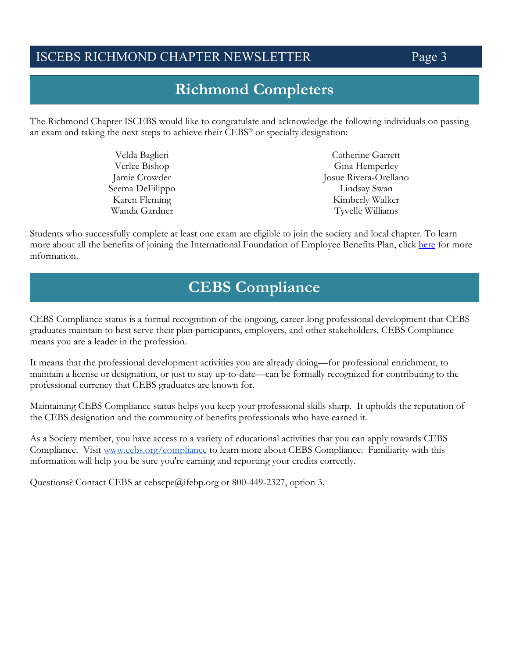## ISCEBS RICHMOND CHAPTER NEWSLETTER Page 3

# **Richmond Completers**

The Richmond Chapter ISCEBS would like to congratulate and acknowledge the following individuals on passing an exam and taking the next steps to achieve their CEBS® or specialty designation:

| Velda Baglieri  | Catherine Garrett     |
|-----------------|-----------------------|
| Verlee Bishop   | Gina Hemperley        |
| Jamie Crowder   | Josue Rivera-Orellano |
| Seema DeFilippo | Lindsay Swan          |
| Karen Fleming   | Kimberly Walker       |
| Wanda Gardner   | Tyvelle Williams      |

Students who successfully complete at least one exam are eligible to join the society and local chapter. To learn more about all the benefits of joining the International Foundation of Employee Benefits Plan, click here for more information.

# **CEBS Compliance**

CEBS Compliance status is a formal recognition of the ongoing, career-long professional development that CEBS graduates maintain to best serve their plan participants, employers, and other stakeholders. CEBS Compliance means you are a leader in the profession.

It means that the professional development activities you are already doing—for professional enrichment, to maintain a license or designation, or just to stay up-to-date—can be formally recognized for contributing to the professional currency that CEBS graduates are known for.

Maintaining CEBS Compliance status helps you keep your professional skills sharp. It upholds the reputation of the CEBS designation and the community of benefits professionals who have earned it.

As a Society member, you have access to a variety of educational activities that you can apply towards CEBS Compliance. Visit www.cebs.org/compliance to learn more about CEBS Compliance. Familiarity with this information will help you be sure you're earning and reporting your credits correctly.

Questions? Contact CEBS at cebscpe@ifebp.org or 800-449-2327, option 3.